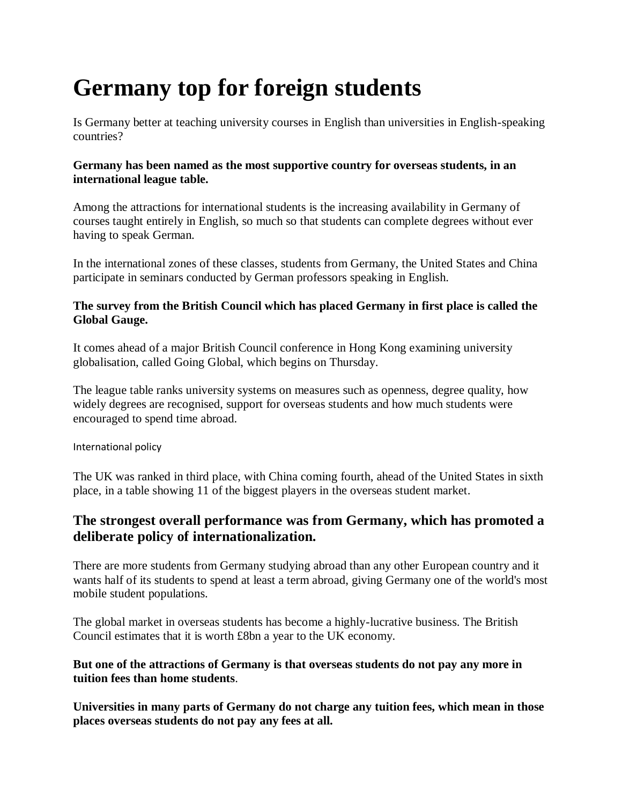# **Germany top for foreign students**

Is Germany better at teaching university courses in English than universities in English-speaking countries?

#### **Germany has been named as the most supportive country for overseas students, in an international league table.**

Among the attractions for international students is the increasing availability in Germany of courses taught entirely in English, so much so that students can complete degrees without ever having to speak German.

In the international zones of these classes, students from Germany, the United States and China participate in seminars conducted by German professors speaking in English.

## **The survey from the British Council which has placed Germany in first place is called the Global Gauge.**

It comes ahead of a major British Council conference in Hong Kong examining university globalisation, called Going Global, which begins on Thursday.

The league table ranks university systems on measures such as openness, degree quality, how widely degrees are recognised, support for overseas students and how much students were encouraged to spend time abroad.

International policy

The UK was ranked in third place, with China coming fourth, ahead of the United States in sixth place, in a table showing 11 of the biggest players in the overseas student market.

## **The strongest overall performance was from Germany, which has promoted a deliberate policy of internationalization.**

There are more students from Germany studying abroad than any other European country and it wants half of its students to spend at least a term abroad, giving Germany one of the world's most mobile student populations.

The global market in overseas students has become a highly-lucrative business. The British Council estimates that it is worth £8bn a year to the UK economy.

## **But one of the attractions of Germany is that overseas students do not pay any more in tuition fees than home students**.

**Universities in many parts of Germany do not charge any tuition fees, which mean in those places overseas students do not pay any fees at all.**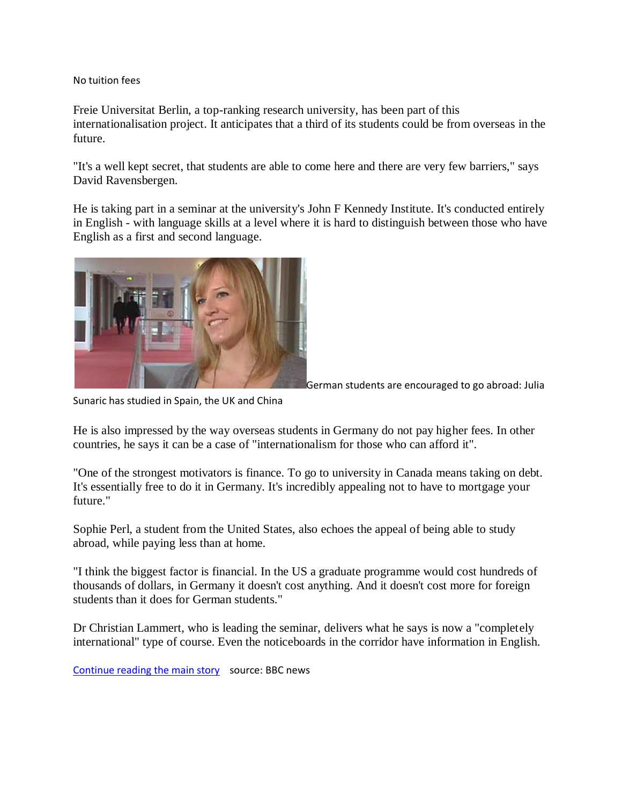No tuition fees

Freie Universitat Berlin, a top-ranking research university, has been part of this internationalisation project. It anticipates that a third of its students could be from overseas in the future.

"It's a well kept secret, that students are able to come here and there are very few barriers," says David Ravensbergen.

He is taking part in a seminar at the university's John F Kennedy Institute. It's conducted entirely in English - with language skills at a level where it is hard to distinguish between those who have English as a first and second language.



German students are encouraged to go abroad: Julia

Sunaric has studied in Spain, the UK and China

He is also impressed by the way overseas students in Germany do not pay higher fees. In other countries, he says it can be a case of "internationalism for those who can afford it".

"One of the strongest motivators is finance. To go to university in Canada means taking on debt. It's essentially free to do it in Germany. It's incredibly appealing not to have to mortgage your future."

Sophie Perl, a student from the United States, also echoes the appeal of being able to study abroad, while paying less than at home.

"I think the biggest factor is financial. In the US a graduate programme would cost hundreds of thousands of dollars, in Germany it doesn't cost anything. And it doesn't cost more for foreign students than it does for German students."

Dr Christian Lammert, who is leading the seminar, delivers what he says is now a "completely international" type of course. Even the noticeboards in the corridor have information in English.

[Continue reading the main story](http://www.bbc.co.uk/news/business-12610268#story_continues_2) source: BBC news